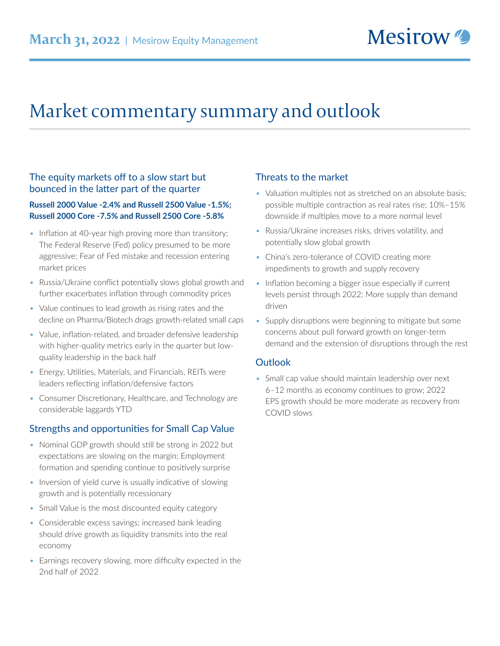# Market commentary summary and outlook

## The equity markets off to a slow start but bounced in the latter part of the quarter

#### **Russell 2000 Value -2.4% and Russell 2500 Value -1.5%; Russell 2000 Core -7.5% and Russell 2500 Core -5.8%**

- Inflation at 40-year high proving more than transitory; The Federal Reserve (Fed) policy presumed to be more aggressive; Fear of Fed mistake and recession entering market prices
- Russia/Ukraine conflict potentially slows global growth and further exacerbates inflation through commodity prices
- Value continues to lead growth as rising rates and the decline on Pharma/Biotech drags growth-related small caps
- Value, inflation-related, and broader defensive leadership with higher-quality metrics early in the quarter but lowquality leadership in the back half
- Energy, Utilities, Materials, and Financials, REITs were leaders reflecting inflation/defensive factors
- Consumer Discretionary, Healthcare, and Technology are considerable laggards YTD

# Strengths and opportunities for Small Cap Value

- Nominal GDP growth should still be strong in 2022 but expectations are slowing on the margin; Employment formation and spending continue to positively surprise
- Inversion of yield curve is usually indicative of slowing growth and is potentially recessionary
- Small Value is the most discounted equity category
- Considerable excess savings; increased bank leading should drive growth as liquidity transmits into the real economy
- Earnings recovery slowing, more difficulty expected in the 2nd half of 2022

## Threats to the market

- Valuation multiples not as stretched on an absolute basis; possible multiple contraction as real rates rise; 10%–15% downside if multiples move to a more normal level
- Russia/Ukraine increases risks, drives volatility, and potentially slow global growth
- China's zero-tolerance of COVID creating more impediments to growth and supply recovery
- Inflation becoming a bigger issue especially if current levels persist through 2022; More supply than demand driven
- Supply disruptions were beginning to mitigate but some concerns about pull forward growth on longer-term demand and the extension of disruptions through the rest

#### **Outlook**

• Small cap value should maintain leadership over next 6–12 months as economy continues to grow; 2022 EPS growth should be more moderate as recovery from COVID slows